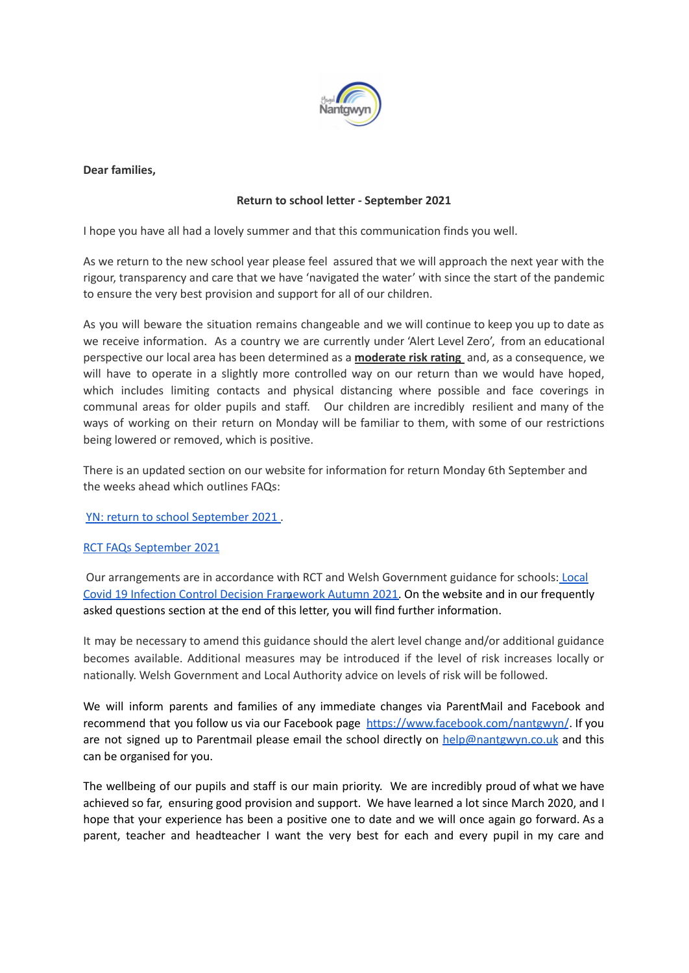

**Dear families,**

## **Return to school letter - September 2021**

I hope you have all had a lovely summer and that this communication finds you well.

As we return to the new school year please feel assured that we will approach the next year with the rigour, transparency and care that we have 'navigated the water' with since the start of the pandemic to ensure the very best provision and support for all of our children.

As you will beware the situation remains changeable and we will continue to keep you up to date as we receive information. As a country we are currently under 'Alert Level Zero', from an educational perspective our local area has been determined as a **moderate risk rating** and, as a consequence, we will have to operate in a slightly more controlled way on our return than we would have hoped, which includes limiting contacts and physical distancing where possible and face coverings in communal areas for older pupils and staff. Our children are incredibly resilient and many of the ways of working on their return on Monday will be familiar to them, with some of our restrictions being lowered or removed, which is positive.

There is an updated section on our website for information for return Monday 6th September and the weeks ahead which outlines FAQs:

YN: return to school [September](https://docs.google.com/document/d/1nKLk5i_Uh78DNfVKjPw-maS4Yk0FCV6QjszdQ80miag/edit?usp=sharing) 2021 .

## RCT FAQs [September](https://docs.google.com/document/d/1inae2y6OcsGVsKVuijWhvWc-__H2gNncP_5BZ-YA-EQ/edit?usp=sharing) 2021

Our arrangements are in accordance with RCT and Welsh Government guidance for schools: [Local](https://gov.wales/local-covid-19-infection-control-decision-framework-schools-autumn-2021-html) Covid 19 Infection Control Decision [Framework](https://gov.wales/local-covid-19-infection-control-decision-framework-schools-autumn-2021-html) Autumn 2021. On the website and in our frequently asked questions section at the end of this letter, you will find further information.

It may be necessary to amend this guidance should the alert level change and/or additional guidance becomes available. Additional measures may be introduced if the level of risk increases locally or nationally. Welsh Government and Local Authority advice on levels of risk will be followed.

We will inform parents and families of any immediate changes via ParentMail and Facebook and recommend that you follow us via our Facebook page <https://www.facebook.com/nantgwyn/>. If you are not signed up to Parentmail please email the school directly on [help@nantgwyn.co.uk](mailto:help@nantgwyn.co.uk) and this can be organised for you.

The wellbeing of our pupils and staff is our main priority. We are incredibly proud of what we have achieved so far, ensuring good provision and support. We have learned a lot since March 2020, and I hope that your experience has been a positive one to date and we will once again go forward. As a parent, teacher and headteacher I want the very best for each and every pupil in my care and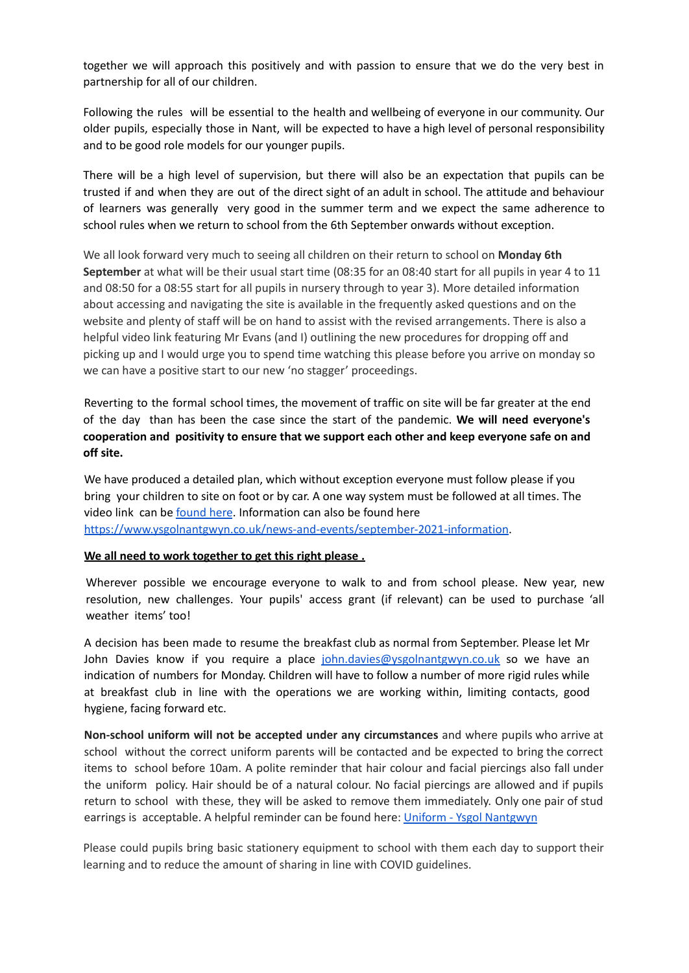together we will approach this positively and with passion to ensure that we do the very best in partnership for all of our children.

Following the rules will be essential to the health and wellbeing of everyone in our community. Our older pupils, especially those in Nant, will be expected to have a high level of personal responsibility and to be good role models for our younger pupils.

There will be a high level of supervision, but there will also be an expectation that pupils can be trusted if and when they are out of the direct sight of an adult in school. The attitude and behaviour of learners was generally very good in the summer term and we expect the same adherence to school rules when we return to school from the 6th September onwards without exception.

We all look forward very much to seeing all children on their return to school on **Monday 6th September** at what will be their usual start time (08:35 for an 08:40 start for all pupils in year 4 to 11 and 08:50 for a 08:55 start for all pupils in nursery through to year 3). More detailed information about accessing and navigating the site is available in the frequently asked questions and on the website and plenty of staff will be on hand to assist with the revised arrangements. There is also a helpful video link featuring Mr Evans (and I) outlining the new procedures for dropping off and picking up and I would urge you to spend time watching this please before you arrive on monday so we can have a positive start to our new 'no stagger' proceedings.

Reverting to the formal school times, the movement of traffic on site will be far greater at the end of the day than has been the case since the start of the pandemic. **We will need everyone's cooperation and positivity to ensure that we support each other and keep everyone safe on and off site.**

We have produced a detailed plan, which without exception everyone must follow please if you bring your children to site on foot or by car. A one way system must be followed at all times. The video link can be [found](https://drive.google.com/file/d/19ue9LpLw18DhS2_mgYkwHxOmdNYK4NMh/view?usp=sharing) here. Information can also be found here <https://www.ysgolnantgwyn.co.uk/news-and-events/september-2021-information>.

## **We all need to work together to get this right please .**

Wherever possible we encourage everyone to walk to and from school please. New year, new resolution, new challenges. Your pupils' access grant (if relevant) can be used to purchase 'all weather items' too!

A decision has been made to resume the breakfast club as normal from September. Please let Mr John Davies know if you require a place [john.davies@ysgolnantgwyn.co.uk](mailto:john.davies@ysgolnantgwyn.co.uk) so we have an indication of numbers for Monday. Children will have to follow a number of more rigid rules while at breakfast club in line with the operations we are working within, limiting contacts, good hygiene, facing forward etc.

**Non-school uniform will not be accepted under any circumstances** and where pupils who arrive at school without the correct uniform parents will be contacted and be expected to bring the correct items to school before 10am. A polite reminder that hair colour and facial piercings also fall under the uniform policy. Hair should be of a natural colour. No facial piercings are allowed and if pupils return to school with these, they will be asked to remove them immediately. Only one pair of stud earrings is acceptable. A helpful reminder can be found here: Uniform - Ysgol Nantgwyn

Please could pupils bring basic stationery equipment to school with them each day to support their learning and to reduce the amount of sharing in line with COVID guidelines.